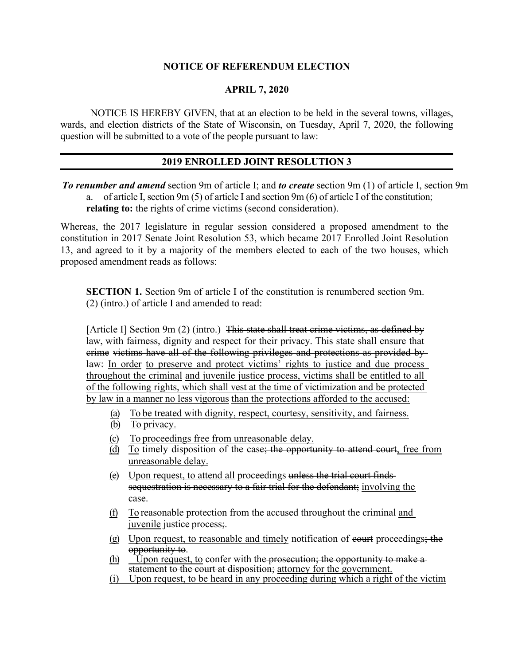## **NOTICE OF REFERENDUM ELECTION**

## **APRIL 7, 2020**

NOTICE IS HEREBY GIVEN, that at an election to be held in the several towns, villages, wards, and election districts of the State of Wisconsin, on Tuesday, April 7, 2020, the following question will be submitted to a vote of the people pursuant to law:

## **2019 ENROLLED JOINT RESOLUTION 3**

*To renumber and amend* section 9m of article I; and *to create* section 9m (1) of article I, section 9m a. of article I, section 9m (5) of article I and section 9m (6) of article I of the constitution; **relating to:** the rights of crime victims (second consideration).

Whereas, the 2017 legislature in regular session considered a proposed amendment to the constitution in 2017 Senate Joint Resolution 53, which became 2017 Enrolled Joint Resolution 13, and agreed to it by a majority of the members elected to each of the two houses, which proposed amendment reads as follows:

**SECTION 1.** Section 9m of article I of the constitution is renumbered section 9m. (2) (intro.) of article I and amended to read:

[Article I] Section 9m (2) (intro.) This state shall treat crime victims, as defined by law, with fairness, dignity and respect for their privacy. This state shall ensure that crime victims have all of the following privileges and protections as provided by law: In order to preserve and protect victims' rights to justice and due process throughout the criminal and juvenile justice process, victims shall be entitled to all of the following rights, which shall vest at the time of victimization and be protected by law in a manner no less vigorous than the protections afforded to the accused:

- (a) To be treated with dignity, respect, courtesy, sensitivity, and fairness.
- (b) To privacy.
- (c) To proceedings free from unreasonable delay.
- (d) To timely disposition of the case; the opportunity to attend court, free from unreasonable delay.
- (e) Upon request, to attend all proceedings unless the trial court finds sequestration is necessary to a fair trial for the defendant; involving the case.
- (f) To reasonable protection from the accused throughout the criminal and juvenile justice process;.
- (g) Upon request, to reasonable and timely notification of court proceedings; the opportunity to.<br>(h) Upon request, to confer with the prosecution; the opportunity to make a-
- statement to the court at disposition; attorney for the government.
- (i) Upon request, to be heard in any proceeding during which a right of the victim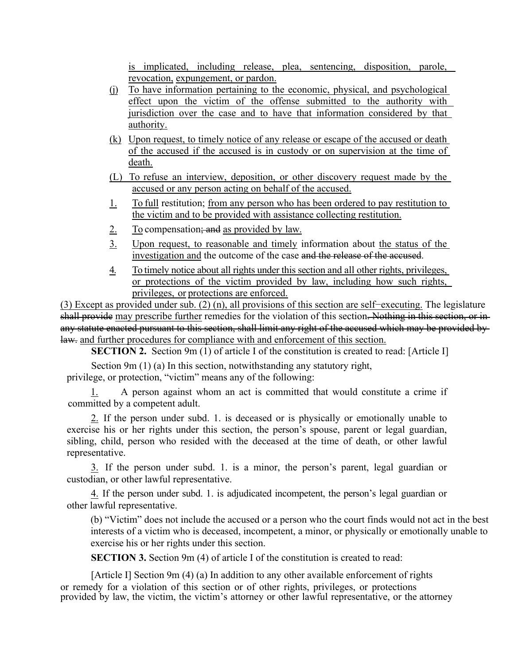is implicated, including release, plea, sentencing, disposition, parole, revocation, expungement, or pardon.

- (j) To have information pertaining to the economic, physical, and psychological effect upon the victim of the offense submitted to the authority with jurisdiction over the case and to have that information considered by that authority.
- (k) Upon request, to timely notice of any release or escape of the accused or death of the accused if the accused is in custody or on supervision at the time of death.
- (L) To refuse an interview, deposition, or other discovery request made by the accused or any person acting on behalf of the accused.
- 1. To full restitution; from any person who has been ordered to pay restitution to the victim and to be provided with assistance collecting restitution.
- 2. To compensation<del>; and</del> as provided by law.
- 3. Upon request, to reasonable and timely information about the status of the investigation and the outcome of the case and the release of the accused.
- 4. To timely notice about all rights under this section and all other rights, privileges, or protections of the victim provided by law, including how such rights, privileges, or protections are enforced.

(3) Except as provided under sub. (2) (n), all provisions of this section are self−executing. The legislature shall provide may prescribe further remedies for the violation of this section. Nothing in this section, or in any statute enacted pursuant to this section, shall limit any right of the accused which may be provided bylaw. and further procedures for compliance with and enforcement of this section.

**SECTION 2.** Section 9m (1) of article I of the constitution is created to read: [Article I]

Section 9m (1) (a) In this section, notwithstanding any statutory right, privilege, or protection, "victim" means any of the following:

1. A person against whom an act is committed that would constitute a crime if committed by a competent adult.

2. If the person under subd. 1. is deceased or is physically or emotionally unable to exercise his or her rights under this section, the person's spouse, parent or legal guardian, sibling, child, person who resided with the deceased at the time of death, or other lawful representative.

3. If the person under subd. 1. is a minor, the person's parent, legal guardian or custodian, or other lawful representative.

4. If the person under subd. 1. is adjudicated incompetent, the person's legal guardian or other lawful representative.

(b) "Victim" does not include the accused or a person who the court finds would not act in the best interests of a victim who is deceased, incompetent, a minor, or physically or emotionally unable to exercise his or her rights under this section.

**SECTION 3.** Section 9m (4) of article I of the constitution is created to read:

[Article I] Section 9m (4) (a) In addition to any other available enforcement of rights or remedy for a violation of this section or of other rights, privileges, or protections provided by law, the victim, the victim's attorney or other lawful representative, or the attorney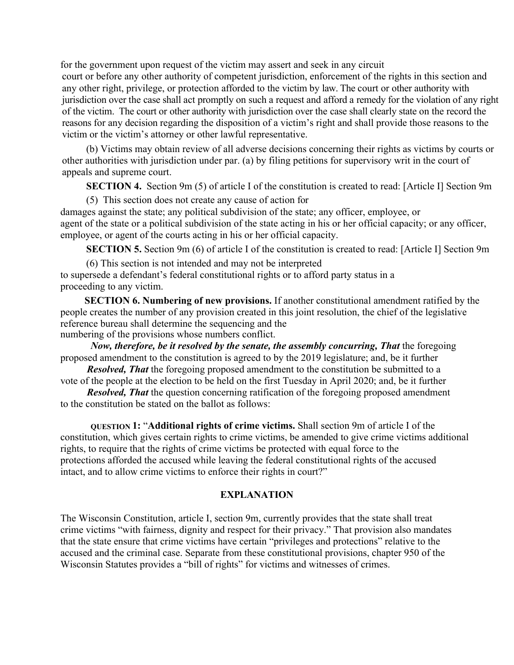for the government upon request of the victim may assert and seek in any circuit court or before any other authority of competent jurisdiction, enforcement of the rights in this section and any other right, privilege, or protection afforded to the victim by law. The court or other authority with jurisdiction over the case shall act promptly on such a request and afford a remedy for the violation of any right of the victim. The court or other authority with jurisdiction over the case shall clearly state on the record the reasons for any decision regarding the disposition of a victim's right and shall provide those reasons to the

victim or the victim's attorney or other lawful representative.

(b) Victims may obtain review of all adverse decisions concerning their rights as victims by courts or other authorities with jurisdiction under par. (a) by filing petitions for supervisory writ in the court of appeals and supreme court.

**SECTION 4.** Section 9m (5) of article I of the constitution is created to read: [Article I] Section 9m

(5) This section does not create any cause of action for damages against the state; any political subdivision of the state; any officer, employee, or agent of the state or a political subdivision of the state acting in his or her official capacity; or any officer, employee, or agent of the courts acting in his or her official capacity.

**SECTION 5.** Section 9m (6) of article I of the constitution is created to read: [Article I] Section 9m

(6) This section is not intended and may not be interpreted

to supersede a defendant's federal constitutional rights or to afford party status in a proceeding to any victim.

**SECTION 6. Numbering of new provisions.** If another constitutional amendment ratified by the people creates the number of any provision created in this joint resolution, the chief of the legislative reference bureau shall determine the sequencing and the numbering of the provisions whose numbers conflict.

*Now, therefore, be it resolved by the senate, the assembly concurring, That the foregoing* proposed amendment to the constitution is agreed to by the 2019 legislature; and, be it further

*Resolved, That* the foregoing proposed amendment to the constitution be submitted to a vote of the people at the election to be held on the first Tuesday in April 2020; and, be it further

*Resolved, That* the question concerning ratification of the foregoing proposed amendment to the constitution be stated on the ballot as follows:

**QUESTION 1:** "**Additional rights of crime victims.** Shall section 9m of article I of the constitution, which gives certain rights to crime victims, be amended to give crime victims additional rights, to require that the rights of crime victims be protected with equal force to the protections afforded the accused while leaving the federal constitutional rights of the accused intact, and to allow crime victims to enforce their rights in court?"

## **EXPLANATION**

The Wisconsin Constitution, article I, section 9m, currently provides that the state shall treat crime victims "with fairness, dignity and respect for their privacy." That provision also mandates that the state ensure that crime victims have certain "privileges and protections" relative to the accused and the criminal case. Separate from these constitutional provisions, chapter 950 of the Wisconsin Statutes provides a "bill of rights" for victims and witnesses of crimes.